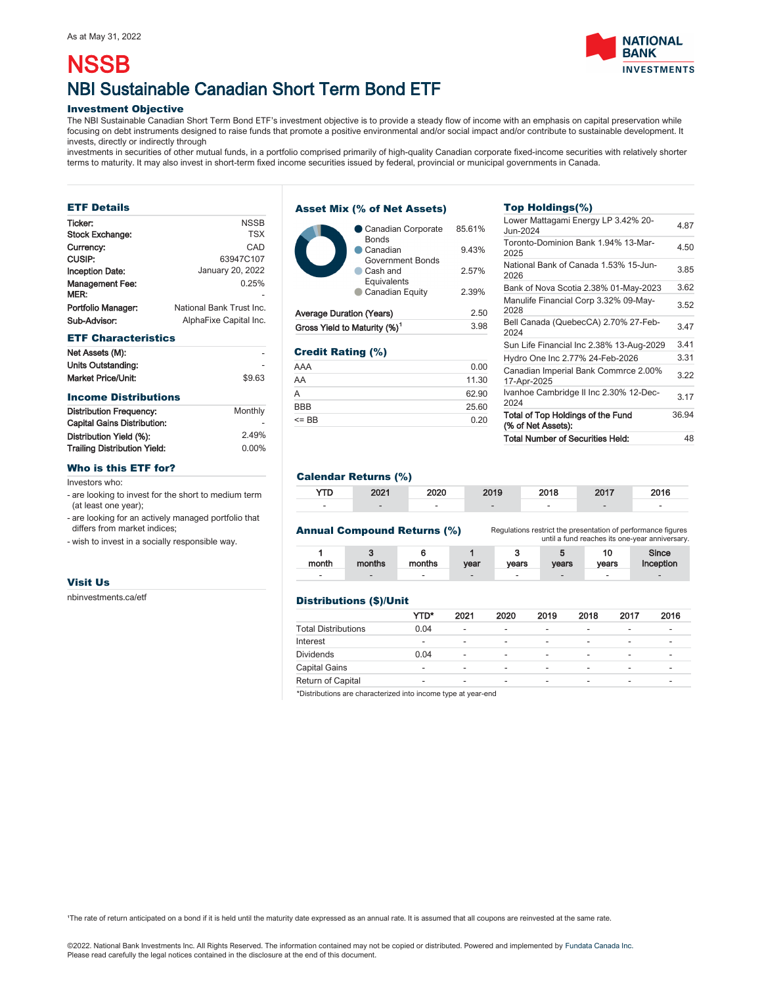# NBI Sustainable Canadian Short Term Bond ETF **NSSB**

## Investment Objective

The NBI Sustainable Canadian Short Term Bond ETF's investment objective is to provide a steady flow of income with an emphasis on capital preservation while focusing on debt instruments designed to raise funds that promote a positive environmental and/or social impact and/or contribute to sustainable development. It invests, directly or indirectly through

investments in securities of other mutual funds, in a portfolio comprised primarily of high-quality Canadian corporate fixed-income securities with relatively shorter terms to maturity. It may also invest in short-term fixed income securities issued by federal, provincial or municipal governments in Canada.

# ETF Details

| <b>NSSB</b>              |
|--------------------------|
| <b>TSX</b>               |
| CAD                      |
| 63947C107                |
| January 20, 2022         |
| 0.25%                    |
|                          |
| National Bank Trust Inc. |
| AlphaFixe Capital Inc.   |
|                          |

#### ETF Characteristics

| Net Assets (M):    |        |
|--------------------|--------|
| Units Outstanding: |        |
| Market Price/Unit: | \$9.63 |

# Income Distributions

| <b>Distribution Frequency:</b>     | Monthly |
|------------------------------------|---------|
| <b>Capital Gains Distribution:</b> |         |
| Distribution Yield (%):            | 2.49%   |
| Trailing Distribution Yield:       | 0.00%   |
|                                    |         |

#### Who is this ETF for?

Investors who:

- are looking to invest for the short to medium term (at least one year);

- are looking for an actively managed portfolio that differs from market indices;

- wish to invest in a socially responsible way.

# Visit Us

[nbinvestments.ca/etf](https://www.nbinvestments.ca/etf)

# Asset Mix (% of Net Assets)



#### Credit Rating (%)

| AAA        | 0.00  |
|------------|-------|
| AA         | 11.30 |
| A          | 62.90 |
| <b>BBB</b> | 25.60 |
| $=$ BB     | 0.20  |

# Top Holdings(%)

| <b>Total Number of Securities Held:</b>                 | 48    |
|---------------------------------------------------------|-------|
| Total of Top Holdings of the Fund<br>(% of Net Assets): | 36.94 |
| Ivanhoe Cambridge II Inc 2.30% 12-Dec-<br>2024          | 3.17  |
| Canadian Imperial Bank Commrce 2.00%<br>17-Apr-2025     | 3.22  |
| Hydro One Inc 2.77% 24-Feb-2026                         | 3.31  |
| Sun Life Financial Inc 2.38% 13-Aug-2029                | 3.41  |
| Bell Canada (QuebecCA) 2.70% 27-Feb-<br>2024            | 3.47  |
| Manulife Financial Corp 3.32% 09-May-<br>2028           | 3.52  |
| Bank of Nova Scotia 2.38% 01-May-2023                   | 3.62  |
| National Bank of Canada 1.53% 15-Jun-<br>2026           | 3.85  |
| Toronto-Dominion Bank 1.94% 13-Mar-<br>2025             | 4.50  |
| Lower Mattagami Energy LP 3.42% 20-<br>Jun-2024         | 4.87  |

# Calendar Returns (%)

| <b>YTD</b> | 2021 | 2020 | 2019 | 2018 | 2017 | 2016 |
|------------|------|------|------|------|------|------|
| -          |      | -    |      |      |      | -    |

## Annual Compound Returns (%)

Regulations restrict the presentation of performance figures until a fund reaches its one-year anniversary.

| month | months | months | vear | vears | vears  | vears | Since<br>Inception       |
|-------|--------|--------|------|-------|--------|-------|--------------------------|
| -     | -      | -      | -    | -     | $\sim$ | -     | $\overline{\phantom{a}}$ |

## Distributions (\$)/Unit

|                            | YTD* | 2021 | 2020 | 2019 | 2018 | 2017 | 2016 |
|----------------------------|------|------|------|------|------|------|------|
| <b>Total Distributions</b> | 0.04 | ۰    | -    | -    | ۰    | -    | -    |
| Interest                   |      |      | -    | -    | ۰.   | -    | -    |
| <b>Dividends</b>           | 0.04 | -    |      | -    | -    | -    | -    |
| <b>Capital Gains</b>       | -    | -    | -    | -    | -    | -    | -    |
| Return of Capital          | -    | -    | -    |      | -    | -    |      |

\*Distributions are characterized into income type at year-end

The rate of return anticipated on a bond if it is held until the maturity date expressed as an annual rate. It is assumed that all coupons are reinvested at the same rate.